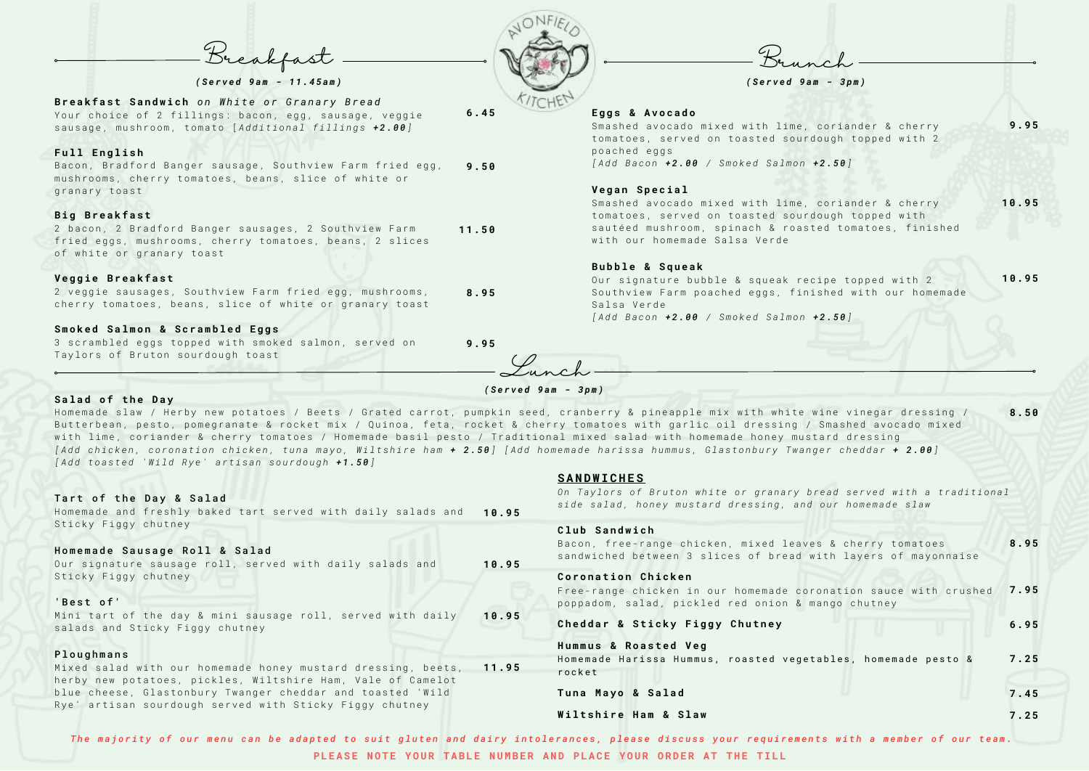| <b>Breakfast Sandwich</b> on White or Granary Bread       |       |
|-----------------------------------------------------------|-------|
| Your choice of 2 fillings: bacon, egg, sausage, veggie    | 6.45  |
| sausage, mushroom, tomato [Additional fillings +2.00]     |       |
|                                                           |       |
| Full English                                              |       |
| Bacon, Bradford Banger sausage, Southview Farm fried egg, | 9.50  |
| mushrooms, cherry tomatoes, beans, slice of white or      |       |
| granary toast                                             |       |
|                                                           |       |
| <b>Big Breakfast</b>                                      |       |
| 2 bacon, 2 Bradford Banger sausages, 2 Southview Farm     | 11.50 |
| fried eggs, mushrooms, cherry tomatoes, beans, 2 slices   |       |
| of white or granary toast                                 |       |
|                                                           |       |
| Veggie Breakfast                                          |       |
| 2 veggie sausages, Southview Farm fried egg, mushrooms,   | 8.95  |
| cherry tomatoes, beans, slice of white or granary toast   |       |
|                                                           |       |

#### Smoked Salmon & Scrambled Eggs

3 scrambled eggs topped with smoked salmon, served on Taylors of Bruton sourdough toast

#### Salad of the Day

Smashed avocado mixed with lime, coriander & cherry tomatoes, served on toasted sourdough topped with 2 poached eggs *[ A d d B a c o n + 2 . 0 0 / S m o k e d S a l m o n + 2 . 5 0 ]* **9 . 9 5**

Smashed avocado mixed with lime, coriander & cherry tomatoes, served on toasted sourdough topped with sautéed mushroom, spinach & roasted tomatoes, finished with our homemade Salsa Verde **1 0 . 9 5**

Our signature bubble & squeak recipe topped with 2 Southview Farm poached eggs, finished with our homemade Salsa Verde **1 0 . 9 5**

**9 . 9 5**

#### **E g g s & A v o c a d o**

Bacon, free-range chicken, mixed leaves & cherry tomatoes sandwiched between 3 slices of bread with layers of mayonnaise **8 . 9 5**

### **Coronation Chicken**

Free-range chicken in our homemade coronation sauce with crushed 2.95 poppadom, salad, pickled red onion & mango chutney

#### **Cheddar & Sticky Figgy Chutney**

**Hummus & Roasted Veq** Homemade Harissa Hummus, roasted vegetables, homemade pesto & r o c k e t **7 . 2 5**

#### **V e g a n S p e c i a l**

**Tuna Mayo & Salad** 

#### **B u b b l e & S q u e a k**

Our signature sausage roll, served with daily salads and Sticky Figgy chutney **1 0 . 9 5**

#### 'Best of'

Mini tart of the day & mini sausage roll, served with daily salads and Sticky Figgy chutney **1 0 . 9 5**

# Ploughmans

Mixed salad with our homemade honey mustard dressing, beets, herby new potatoes, pickles, Wiltshire Ham, Vale of Camelot blue cheese, Glastonbury Twanger cheddar and toasted 'Wild Rye' artisan sourdough served with Sticky Figgy chutney **1 1 . 9 5**



*[ A d d B a c o n + 2 . 0 0 / S m o k e d S a l m o n + 2 . 5 0 ]*

Breakfast

### *( S e r v e d 9 a m - 1 1 . 4 5 a m )*

# *( S e r v e d 9 a m - 3 p m )*

# *( S e r v e d 9 a m - 3 p m )*

# **C l u b S a n d w i c h**

Homemade slaw / Herby new potatoes / Beets / Grated carrot, pumpkin seed, cranberry & pineapple mix with white wine vinegar dressing / Butterbean, pesto, pomegranate & rocket mix / Quinoa, feta, rocket & cherry tomatoes with garlic oil dressing / Smashed avocado mixed with lime, coriander & cherry tomatoes / Homemade basil pesto / Traditional mixed salad with homemade honey mustard dressing [Add chicken, coronation chicken, tuna mayo, Wiltshire ham + 2.50] [Add homemade harissa hummus, Glastonbury Twanger cheddar + 2.00] [Add toasted 'Wild Rye' artisan sourdough +1.50] **8 . 5 0**

> **S A N D W I C H E S** *On Taylors of Bruton white or granary bread served with a traditional*

#### Tart of the Day & Salad

Homemade and freshly baked tart served with daily salads and **10.95** Sticky Figgy chutney

# Homemade Sausage Roll & Salad

#### **W i l t s h i r e H a m & S l a w**

The majority of our menu can be adapted to suit gluten and dairy intolerances, please discuss your requirements with a member of our team. **PLEASE NOTE YOUR TABLE NUMBER AND PLACE YOUR ORDER AT THE TILL** 



**6 . 9 5**

**7 . 4 5**

**7 . 2 5**

Lunch

*s i d e s a l a d , h o n e y m u s t a r d d r e s s i n g , a n d o u r h o m e m a d e s l a w*